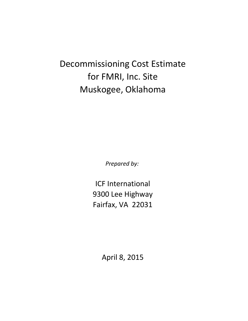Decommissioning Cost Estimate for FMRI, Inc. Site Muskogee, Oklahoma

*Prepared by:*

ICF International Fairfax, VA 22031 9300 Lee Highway

April 8, 2015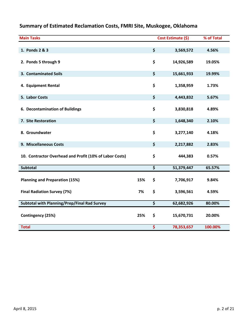| <b>Main Tasks</b>                                       |     | Cost Estimate (\$) | % of Total |
|---------------------------------------------------------|-----|--------------------|------------|
| 1. Ponds 2 & 3                                          |     | \$<br>3,569,572    | 4.56%      |
| 2. Ponds 5 through 9                                    |     | \$<br>14,926,589   | 19.05%     |
| 3. Contaminated Soils                                   |     | \$<br>15,661,933   | 19.99%     |
| 4. Equipment Rental                                     |     | \$<br>1,358,959    | 1.73%      |
| 5. Labor Costs                                          |     | \$<br>4,443,832    | 5.67%      |
| 6. Decontamination of Buildings                         |     | \$<br>3,830,818    | 4.89%      |
| 7. Site Restoration                                     |     | \$<br>1,648,340    | 2.10%      |
| 8. Groundwater                                          |     | \$<br>3,277,140    | 4.18%      |
| 9. Miscellaneous Costs                                  |     | \$<br>2,217,882    | 2.83%      |
| 10. Contractor Overhead and Profit (10% of Labor Costs) |     | \$<br>444,383      | 0.57%      |
| <b>Subtotal</b>                                         |     | \$<br>51,379,447   | 65.57%     |
| <b>Planning and Preparation (15%)</b>                   | 15% | \$<br>7,706,917    | 9.84%      |
| <b>Final Radiation Survey (7%)</b>                      | 7%  | \$<br>3,596,561    | 4.59%      |
| Subtotal with Planning/Prep/Final Rad Survey            |     | \$<br>62,682,926   | 80.00%     |
| Contingency (25%)                                       | 25% | \$<br>15,670,731   | 20.00%     |
| <b>Total</b>                                            |     | \$<br>78,353,657   | 100.00%    |

# **Summary of Estimated Reclamation Costs, FMRI Site, Muskogee, Oklahoma**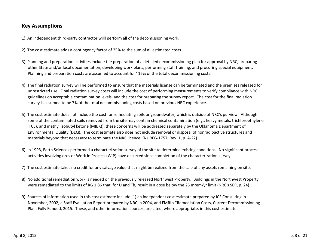# **Key Assumptions**

- 1) An independent third‐party contractor willl perform all of the decomissioning work.
- 2) The cost estimate adds <sup>a</sup> contingency factor of 25% to the sum of all estimated costs.
- 3) Planning and preparation activities include the preparation of <sup>a</sup> detailed decommissioning plan for approval by NRC, preparing other State and/or local documentation, developing work plans, performing staff training, and procuring special equipment. Planning and preparation costs are assumed to account for ~15% of the total decommissioning costs.
- 4) The final radiation survey will be performed to ensure that the materials license can be terminated and the premises released for unrestricted use. Final radiation survey costs will include the cost of performing measurements to verify compliance with NRC guidelines on acceptable contamination levels, and the cost for preparing the survey report. The cost for the final radiation survey is assumed to be 7% of the total decommissioning costs based on previous NRC experience.
- 5) The cost estimate does not include the cost for remediating soils or groundwater, which is outside of NRC's purview. Although some of the contaminated soils removed from the site may contain chemical contamination (e.g., heavy metals, trichloroethylene TCE), and methyl isobutyl ketone (MIBK)), these concerns will be addressed separately by the Oklahoma Department of Environmental Quality (DEQ). The cost estimate also does not include removal or disposal of nonradioactive structures and materials beyond that necessary to terminate the NRC licence. (NUREG‐1757, Rev. 1, p. A‐22)
- 6) In 1993, Earth Sciences performed <sup>a</sup> characterization survey of the site to determine existing conditions. No significant process activities involving ores or Work in Process (WIP) have occurred since completion of the characterization survey.
- 7) The cost estimate takes no credit for any salvage value that might be realized from the sale of any assets remaining on site.
- 8) No additional remediation work is needed on the previously released Northwest Property. Buildings in the Northwest Property were remediated to the limits of RG 1.86 that, for U and Th, result in <sup>a</sup> dose below the 25 mrem/yr limit (NRC's SER, p. 24).
- 9) Sources of information used in this cost estimate include (1) an independent cost estimate prepared by ICF Consulting in November, 2002; <sup>a</sup> Staff Evaluation Report prepared by NRC in 2004, and FMRI's "Remediation Costs, Current Decommissioning Plan, Fully Funded, 2015. These, and other information sources, are cited, where appropriate, in this cost estimate.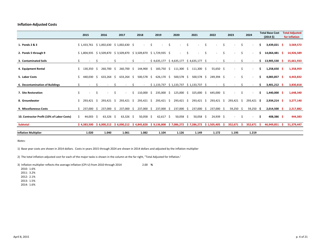## **Inflation‐Adjusted Costs**

|                                            |    | 2015        |                     | 2016         |     | 2017                                      |      | 2018                     |    | 2019                                                                 |     | 2020         |    | 2021                                   |    | 2022       |    | 2023       |      | 2024         |    | <b>Total Base Cost</b><br>$(2014 \; \text{S})$ |    | <b>Total Adjusted</b><br>for Inflation |
|--------------------------------------------|----|-------------|---------------------|--------------|-----|-------------------------------------------|------|--------------------------|----|----------------------------------------------------------------------|-----|--------------|----|----------------------------------------|----|------------|----|------------|------|--------------|----|------------------------------------------------|----|----------------------------------------|
| 1. Ponds 2 & 3                             |    |             |                     |              |     | $$1,433,761$ $$1,002,630$ $$1,002,630$ \$ |      | $\sim$                   | Ŝ  | ٠                                                                    | \$. | ٠            | Ŝ. | ٠                                      | Ŝ. |            | Ś  |            | Ŝ.   |              | S  | 3,439,021 \$                                   |    | 3,569,572                              |
| 2. Ponds 5 through 9                       |    |             |                     |              |     |                                           |      |                          |    | $$1,804,935$ $$3,509,870$ $$3,509,870$ $$3,509,870$ $$1,729,935$ $$$ |     | $\sim$       | \$ | $\sim$                                 | \$ | $\sim$     | \$ | $\sim$     | S.   | $\sim$       | s  | 14,064,481 \$                                  |    | 14,926,589                             |
| 3. Contaminated Soils                      |    |             |                     |              |     |                                           |      |                          |    | $$4,635,177$ $$4,635,177$ $$4,635,177$ $$$                           |     |              |    |                                        |    | $\sim$     |    |            |      |              |    | 13,905,530 \$                                  |    | 15,661,933                             |
| 4. Equipment Rental                        | Ś. | 130,350 \$  |                     | 260,700 \$   |     | 260,700 \$                                |      | 144,900 \$               |    |                                                                      |     |              |    | 183,750 \$ 111,300 \$ 111,300 \$       |    | 55,650 \$  |    |            | \$.  |              | S. | $1,258,650$ \$                                 |    | 1,358,959                              |
| 5. Labor Costs                             | Ś. | 440,030     | $\ddot{\mathsf{s}}$ | $633,264$ \$ |     | $633,264$ \$                              |      | 500,578 \$               |    | 626,170 \$                                                           |     | $500,578$ \$ |    | 500,578 \$                             |    | 249,394 \$ |    | $\sim$     | \$.  |              | S  | $4,083,857$ \$                                 |    | 4,443,832                              |
| 6. Decontamination of Buildings            |    |             | S.                  |              |     |                                           |      | $\overline{\phantom{a}}$ |    | $$1,133,737$ $$1,133,737$ $$1,133,737$ $$$                           |     |              |    |                                        |    | $\sim$     |    |            |      |              |    | 3,401,212 \$                                   |    | 3,830,818                              |
| 7. Site Restoration                        | \$ | $\sim$      | \$                  |              | Ŝ.  | ٠                                         | S.   | 110,000 \$               |    | 235,000 \$                                                           |     | 125,000 \$   |    | 325,000 \$                             |    | 645,000 \$ |    | $\sim$     | \$.  |              | s  | 1,440,000 \$                                   |    | 1,648,340                              |
| 8. Groundwater                             | Ś. | 293,421 \$  |                     | 293,421 \$   |     | 293,421 \$                                |      | 293,421 \$               |    | 293,421 \$                                                           |     | 293,421 \$   |    | 293,421 \$                             |    | 293,421 \$ |    | 293,421 \$ |      | 293,421 \$   |    | $2,934,214$ \$                                 |    | 3,277,140                              |
| 9. Miscellaneous Costs                     | Ś. | 237,000     | - S                 | 237,000      | - S | 237,000                                   | - \$ | 237,000                  | -Ŝ | 237,000 \$                                                           |     | 237,000 \$   |    | 237,000 \$                             |    | 237,000 \$ |    | 59,250 \$  |      | 59,250 \$    |    | $2,014,500$ \$                                 |    | 2,217,882                              |
| 10. Contractor Profit (10% of Labor Costs) | Ŝ. | 44,003 \$   |                     | $63,326$ \$  |     | $63,326$ \$                               |      | $50,058$ \$              |    | $62,617$ \$                                                          |     | $50,058$ \$  |    | $50,058$ \$                            |    | 24,939 \$  |    | $\sim$     | \$.  | $\sim$       | -S | $408,386$ \$                                   |    | 444,383                                |
| <b>Subtotal</b>                            |    | \$4,383,500 |                     |              |     | $$6,000,212 \ $6,000,212 \ $4,845,828$    |      |                          |    | \$9,136,808                                                          |     |              |    | $$7,086,272$ $$7,286,272$ $$1,505,405$ |    |            | -S | 352,671    | - \$ | $352,671$ \$ |    | 46,949,851                                     | -S | 51,379,447                             |
| <b>Inflation Multiplier</b>                |    | 1.020       |                     | 1.040        |     | 1.061                                     |      | 1.082                    |    | 1.104                                                                |     | 1.126        |    | 1.149                                  |    | 1.172      |    | 1.195      |      | 1.219        |    |                                                |    |                                        |

*Notes:*

1) Base year costs are shown in 2014 dollars. Costs in years 2015 through 2024 are shown in 2014 dollars and adjusted by the inflation multiplier

2) The total inflation‐adjusted cost for each of the major tasks is shown in the column at the far right, "Total Adjusted for Inflation."

3) Inflation multiplier reflects the average inflation (CPI‐U) from 2010 through 2014 2.00 **%** 2010: 1.6% 2011: 3.2% 2012: 2.1% 2013: 1.5%2014: 1.6%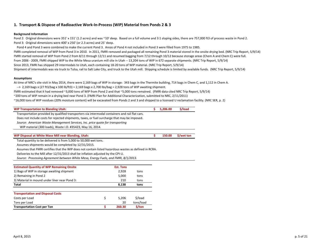## **1. Transport & Dispose of Radioactive Work‐In‐Process (WIP) Material from Ponds 2 & 3**

#### **Background Information**

Pond 2: Original dimensions were 351' <sup>x</sup> 151' (1.2 acres) and was ~10' deep. Based on <sup>a</sup> full volume and 3:1 sloping sides, there are 757,000 ft3 of process waste in Pond 2. Pond 3: Original dimensions were 400' <sup>x</sup> 250' (or 2.3 acres) and 25' deep.

Pond 4 and Pond 3 were combined to make the current Pond 3. Areas of Pond 4 not included in Pond 3 were filled from 1975 to 1985. FMRI completed removal of WIP from Pond 3 in 2010. In 2011, FMRI removed and packaged all remaining Pond 3 material stored in the onsite drying bed. (NRC Trip Report, 5/9/14) FMRI started removal of WIP from Pond 2 from 8/11 through 12/11 and resumed bagging from 7/12 through 10/12 because storage areas (Chem A and Chem C) were full. From 2006 ‐ 2009, FMRI shipped WIP to the White Mesa uranium mill site in Utah ‐‐ 13,204 tons of WIP in 672 separate shipments. (NRC Trip Report, 5/9/14) Since 2013, FMRI has shipped 29 intermodals to Utah, each containing 18‐20 tons of WIP material. (NRC Trip Report, 5/9/14) Shipment of intermodals was via truck to Tulsa, rail to Salt Lake City, and truck to the Utah mill. Shipping schedule is limited by available funds. (NRC Trip Report, 5/9/14)

#### **Assumptions**

At time of NRC's site visit in May 2014, there were 2,169 bags of WIP in storage: 343 bags in the Thermite building, 714 bags in Chem C, and 1,112 in Chem A. ‐‐> 2,169 bags <sup>x</sup> (27 ft3/bag <sup>x</sup> 100 lb/ft3) <sup>=</sup> 2,169 bags <sup>x</sup> 2,700 lbs/bag <sup>=</sup> 2,928 tons of WIP awaiting shipment.

FMRI estimated that it had removed ~3,000 tons of WIP from Pond 2 and that ~5,000 tons remained. (FMRI data cited NRC Trip Report, 5/9/14)

~200 tons of WIP remain in <sup>a</sup> drying bed near Pond 3. (FMRI Plan for Additional Characterization, submitted to NRC, 2/11/2011)

~16,000 tons of WIP residues (20% moisture content) will be excavated from Ponds 2 and 3 and shipped to <sup>a</sup> licensed U reclamation facility. (NRC SER, p. 2)

| <b>WIP Transportation to Blanding Utah:</b>                                                           |                  |                                 | 5,206.00 | \$/load      |
|-------------------------------------------------------------------------------------------------------|------------------|---------------------------------|----------|--------------|
| Transportation provided by qualified transporters via intermodal containers and rail flat cars.       |                  |                                 |          |              |
| Does not include costs for rejected shipments, taxes, or fuel surcharge that may be imposed.          |                  |                                 |          |              |
| Source: American Waste Management Services, Inc. price quote for transporting                         |                  |                                 |          |              |
| WIP material (300 loads), Waste I.D. #35423, May 16, 2014.                                            |                  |                                 |          |              |
| WIP Disposal at White Mase Mill near Blanding, Utah:                                                  |                  |                                 | 150.00   | $$$ /wet ton |
| Total quantity to be delivered is from 5,000 to 50,000 wet tons.                                      |                  |                                 |          |              |
| Assumes shipments would be completed by 12/31/2015.                                                   |                  |                                 |          |              |
| Assumes that FMRI certifies that the WIP does not contain listed hazardous wastes as defined in RCRA. |                  |                                 |          |              |
| Deliveries to the Mill after 12/31/2013 shall be inflation adjusted by the CPI-U.                     |                  |                                 |          |              |
| Source: Processing Agreement between White Mesa, Energy Fuels, and FMRI, 8/1/2013.                    |                  |                                 |          |              |
| <b>Estimated Quantity of WIP Remaining Onsite</b>                                                     | <b>Est. Tons</b> |                                 |          |              |
| 1) Bags of WIP in storage awaiting shipment                                                           | 2,928            | tons                            |          |              |
| 2) Remaining in Pond 2                                                                                | 5,000            | tons                            |          |              |
| 3) Material in maximal under lines near Dend 3.                                                       | <b>010</b>       | $\frac{1}{2}$ and $\frac{1}{2}$ |          |              |

| 3) Material in mound under liner near Pond 3: | 210   | tons    |
|-----------------------------------------------|-------|---------|
| Total                                         | 8.138 | tons    |
|                                               |       |         |
| <b>Transportation and Disposal Costs</b>      |       |         |
| Costs per Load                                | 5.206 | \$/load |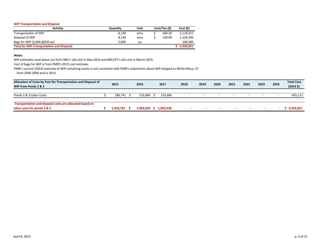#### **WIP Transportation and Disposal**

| Activity                                         | Quantity | Unit | Cost/Ton (\$) | Cost (S)    |
|--------------------------------------------------|----------|------|---------------|-------------|
| Transportation of WIP                            | 8,138    | tons | 260.30        | 2,118,321   |
| Disposal of WIP                                  | 8.138    | tons | 150.00        | 1,220,700   |
| Bags for WIP (5,000 @\$20 ea)                    | 5.000    | ea   |               | 100,000     |
| <b>Total for WIP Transportation and Disposal</b> |          |      |               | \$3,439,021 |

#### *Notes:*

WIP estimates used above are from NRC's site visit in May 2014 and NRC/ICF's site visit in March 2015.

Cost of bags for WIP is from FMRI's 2015 cost estimate.

FMRI's current (2015) estimate of WIP remaining onsite is not consistent with FMRI's statements about WIP shipped to White Mesa, UT from 2006‐2009 and in 2013.

| Allocation of Costs by Year for Transportation and Disposal of<br>WIP from Ponds 2 & 3  | 2015      | 2016           | 2017      | 2018   | 2019   | 2020   | 2021                     | 2022                     | 2023   | 2024 | <b>Total Cost</b><br>(20145) |
|-----------------------------------------------------------------------------------------|-----------|----------------|-----------|--------|--------|--------|--------------------------|--------------------------|--------|------|------------------------------|
| Ponds 2 & 3 Labor Costs                                                                 | 189.741   | 132.686        | 132.686   |        |        |        | $\overline{\phantom{a}}$ | $\overline{\phantom{0}}$ |        |      | 455,112                      |
| Transportation and disposal costs are allocated based on<br>labor costs for ponds 2 & 3 | 1.433.761 | $1,002,630$ \$ | 1,002,630 | $\sim$ | $\sim$ | $\sim$ | $\sim$                   |                          | $\sim$ |      | \$3,439,021                  |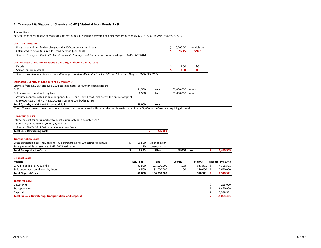#### **2. Transport & Dispose of Chemical (CaF2) Material from Ponds 5 ‐ 9**

### **Assumptions**

~68,800 tons of residue (20% moisture content) of residue will be excavated and disposed from Ponds 5, 6, 7, 8, & 9. *Source: NRC's SER, p. 2.*

| <b>CaF2 Transportation</b>                                                                                                                         |              |                |                    |             |     |                    |
|----------------------------------------------------------------------------------------------------------------------------------------------------|--------------|----------------|--------------------|-------------|-----|--------------------|
| Price includes liner, fuel surcharge, and a 100-ton per car minimum                                                                                |              |                | Ś<br>10,500.00     | gondola car |     |                    |
| Calculated cost/ton (assume 110 tons per load [per FMRI])                                                                                          |              |                | Ś<br>95.45         | \$/ton      |     |                    |
| Source: Email from Jim Smith, American Waste Management Services, Inc. to James Burgess, FMRI, 9/3/2014.                                           |              |                |                    |             |     |                    |
| CaF2 Disposal at WCS RCRA Subtitle C Facility, Andrews County, Texas                                                                               |              |                |                    |             |     |                    |
| Debris                                                                                                                                             |              |                | \$<br>17.50        | ft3         |     |                    |
| Soil or soil-like material                                                                                                                         |              |                | \$<br>8.00         | ft3         |     |                    |
| Source: Non-binding disposal cost estimate provided by Waste Control Specialists LLC to James Burgess, FMRI, 9/4/2014.                             |              |                |                    |             |     |                    |
| <b>Estimated Quantity of CaF2 in Ponds 5 through 9</b>                                                                                             |              |                |                    |             |     |                    |
| Estimate from NRC SER and ICF's 2002 cost estimate: 68,000 tons consisting of:                                                                     |              |                |                    |             |     |                    |
| CaF <sub>2</sub>                                                                                                                                   | 51,500       | tons           | 103,000,000 pounds |             |     |                    |
| Soil below each pond and clay liners                                                                                                               | 16,500       | tons           | 33,000,000 pounds  |             |     |                    |
| Assumes contaminated soils under ponds 6, 7, 8, and 9 are 1-foot thick across the entire footprint                                                 |              |                |                    |             |     |                    |
| (330,000 ft2 x 1 ft thick ' = 330,000 ft3); assume 100 lbs/ft3 for soil                                                                            |              |                |                    |             |     |                    |
| <b>Total Quantity of CaF2 and Associated Soils</b>                                                                                                 | 68.000       | tons           |                    |             |     |                    |
| Note: The estimated quantities above assume that contaminated soils under the ponds are included in the 68,000 tons of residue requiring disposal. |              |                |                    |             |     |                    |
| <b>Dewatering Costs</b>                                                                                                                            |              |                |                    |             |     |                    |
| Estimated cost for setup and rental of jet pump system to dewater CaF2                                                                             |              |                |                    |             |     |                    |
| (\$75K in year 1, \$50K in years 2, 3, and 4.)                                                                                                     |              |                |                    |             |     |                    |
| Source: FMRI's 2015 Estimated Remediation Costs                                                                                                    |              |                |                    |             |     |                    |
| <b>Total CaF2 Dewatering Costs</b>                                                                                                                 |              | Ś<br>225,000   |                    |             |     |                    |
| <b>Transportation Costs</b>                                                                                                                        |              |                |                    |             |     |                    |
| Costs per gondola car (includes liner, fuel surcharge, and 100-ton/car minimum)                                                                    | \$<br>10,500 | \$/gondola car |                    |             |     |                    |
| Tons per gondola car (source: FMRI 2015 estimate)                                                                                                  | 110          | tons/gondola   |                    |             |     |                    |
| <b>Total Transportation Costs</b>                                                                                                                  | \$<br>95.45  | \$/ton         | 68,000 tons        |             | \$. | 6,490,909          |
| <b>Disposal Costs</b>                                                                                                                              |              |                |                    |             |     |                    |
| <b>Material</b>                                                                                                                                    | Est. Tons    | Lbs            | Lbs/ft3            | Total ft3   |     | Disposal @ \$8/ft3 |
| CaF2 in Ponds 5, 6, 7, 8, and 9                                                                                                                    | 51,500       | 103,000,000    | 175                | 588,571 \$  |     | 4,708,571          |
| Soils under each pond and clay liners                                                                                                              | 16,500       | 33,000,000     | 100                | 330,000     | -\$ | 2,640,000          |
| <b>Total Disposal Costs</b>                                                                                                                        | 68,000       | 136,000,000    |                    | 918,571     | Ŝ   | 7,348,571          |
| <b>Totals for CaF2</b>                                                                                                                             |              |                |                    |             |     |                    |
| Dewatering                                                                                                                                         |              |                |                    |             | S   | 225,000            |
| Transportation                                                                                                                                     |              |                |                    |             | Ś   | 6,490,909          |
| Disposal                                                                                                                                           |              |                |                    |             |     | 7,348,571          |
| <b>Total for CaF2 Dewatering, Transportation, and Disposal</b>                                                                                     |              |                |                    |             |     | 14,064,481         |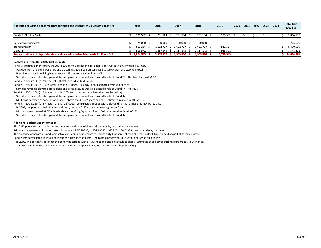| Allocation of Costs by Year for Transportation and Disposal of CaF2 from Ponds 5-9 | 2015         | 2016                | 2017         | 2018         | 2019      | 2020 | 2021 | 2022 | 2023 | 2024 | <b>Total Cost</b><br>$(2014 \; \text{S})$ |
|------------------------------------------------------------------------------------|--------------|---------------------|--------------|--------------|-----------|------|------|------|------|------|-------------------------------------------|
|                                                                                    |              |                     |              |              |           |      |      |      |      |      |                                           |
| Ponds 5 - 9 Labor Costs                                                            | 125.592      | 251.184             | 251.184      | 251,184      | 125,592   |      |      |      |      |      | 1,004,737                                 |
|                                                                                    |              |                     |              |              |           |      |      |      |      |      |                                           |
| CaF2 dewatering costs                                                              | 75.000 \$    | $50.000 \quad S$    | 50.000 \$    | 50,000       |           |      |      |      |      |      | 225.000                                   |
| Transportation                                                                     | 811,364      | 1.622.727           | 1,622,727 \$ | l,622,727 \$ | 811,364   |      |      |      |      |      | 6,490,909                                 |
| Disposal                                                                           | 918.571      | $1.837.143 \quad S$ | 1,837,143 \$ | 1,837,143 \$ | 918,571   |      |      |      |      |      | 7,348,571                                 |
| Transportation and disposal costs are allocated based on labor costs for Ponds 5-9 | 1,804,935 \$ | 3.509.870<br>- 8    | 3,509,870 \$ | 3,509,870    | 1,729,935 |      |      |      |      |      | 14,064,481                                |

#### **Background (from ICF's 2002 Cost Estimate)**

Pond 5: Original dimensions were 200' <sup>x</sup> 100' (or 0.5 acres) and 10' deep. Constructed in 1973 with <sup>a</sup> clay liner.

Residue from this pond was dried and placed in 1,200 1‐ton bulker bags (~1 cubic yard), or 1,200 tons total.

Pond 5 was closed by filling in with topsoil. Estimated residue depth of 3'.

Samples revealed elevated gross alpha and gross beta, as well as elevated levels of U and Th. Also high levels of MIBK.

Pond 6: ~200' <sup>x</sup> 100' (or ~0.5 acres); estimated residue depth of 3'.

Pond 7: ~250' <sup>x</sup> 150' (or ~0.85 acres) and is <10' deep. Has clay liner. Estimated residue depth of 3'.

Samples revealed elevated gross alpha and gross beta, as well as elevated levels of U and Th. No MIBK.

Pond 8: ~350' <sup>x</sup> 350' (or 2.8 acres) and is ~25' deep. Has synthetic liner that may be leaking.

Samples revealed elevated gross alpha and gross beta, as well as elevated levels of U and Ra.

MIBK was detected at concentrations well above the 33 mg/kg action limit. Estimated residue depth of 13'.

Pond 9: ~600' <sup>x</sup> 250' (or 3.4 acres) and is ~25' deep. Constructed in 1985 with <sup>a</sup> clay and synthetic liner that may be leaking.

In 2002, the pond was full of water and slurry and the CaF2 was seen breaking the surface.

Most samples showed MIBK at levels above the 33 mg/kg action limit. Estimated residue depth of 13'.

Samples revealed elevated gross alpha and gross beta, as well as elevated levels of U and Ra.

#### **Additional Background Information**

The CaF2 ponds contain sludges or residues contaminated with organic, inorganic, and radioactive waste.

Primary contaminants of concern are: chromium, MIBK, U‐233, U‐234, U‐235, U‐238, Th‐230, Th‐234, and their decay products.

The presence of hazardous and radioactive contaminants increases the probability that some of the CaF2 material will have to be disposed of as mixed waste. Pond 2 was constructed in 1960 and included <sup>a</sup> clay liner and was used to hold process residue until Pond 3 was built in 1979.

In 2002, site personnel said that the pond was capped with <sup>a</sup> PVC sheet and one polyethylene sheet. Estimates of soil cover thickness are from 6 to 24 inches. At an unknown date, the residue in Pond 5 was dried and placed in 1,200 one‐ton bulker bags (3'x3'x3').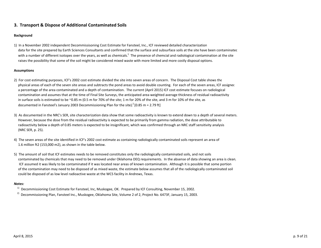# **3. Transport & Dispose of Additional Contaminated Soils**

## **Background**

1) In <sup>a</sup> November 2002 independent Decommissisoning Cost Estimate for Fansteel, Inc., ICF reviewed detailed characterization data for the site prepared by Earth Sciences Consultants and confirmed that the surface and subsurface soils at the site have been contaminatec with a number of different isotopes over the years, as well as chemicals.<sup>1</sup> The presence of chemcial and radiological contamination at the site raises the possibility that some of the soil might be considered mixed waste with more limited and more costly disposal options.

## **Assumptions**

- 2) For cost estimating purposes, ICF's 2002 cost estimate divided the site into seven areas of concern. The Disposal Cost table shows the physical areas of each of the seven site areas and subtracts the pond areas to avoid double counting. For each of the seven areas, ICF assigned a percentage of the area contaminated and <sup>a</sup> depth of contamination. The current (April 2015) ICF cost estimate focuses on radiological contamination and assumes that at the time of Final Site Surveys, the anticipated area‐weighted average thickness of residual radioactivity in surface soils is estimated to be ~0.85 <sup>m</sup> (0.5 <sup>m</sup> for 70% of the site; 1 <sup>m</sup> for 20% of the site, and 3 <sup>m</sup> for 10% of the site, as documented in Fansteel's January 2003 Decommissioning Plan for the site). $^2$  [0.85 m = 2.79 ft]
- 3) As documented in the NRC's SER, site characterization data show that some radioactivity is known to extend down to <sup>a</sup> depth of several meters. However, because the dose from the residual radioactivity is expected to be primarily from gamma radiation, the dose attributable to radioactivity below <sup>a</sup> depth of 0.85 meters is expected to be insignificant, which was confirmed through an NRC staff sensitivity analysis (NRC SER, p. 25).
- 4) The seven areas of the site identified in ICF's 2002 cost estimate as containing radiologically contaminated soils represent an area of 1.6 million ft2 (153,000 m2), as shown in the table below.
- 5) The amount of soil that ICF estimates needs to be removed constitutes only the radiologically contaminated soils, and not soils contaminated by chemicals that may need to be removed under Oklahoma DEQ requirements. In the absense of data showing an area is clean, ICF assumed it was likely to be contaminated if it was located near areas of known contamination. Although it is possible that some portion of the contamination may need to be disposed of as mixed waste, the estimate below assumes that all of the radiologically contaminated soil could be disposed of as low level radioactive waste at the WCS facility in Andrews, Texas.

## *Notes:*

- <sup>1)</sup> Decommissioning Cost Estimate for Fansteel, Inc, Muskogee, OK. Prepared by ICF Consulting, November 15, 2002.
- <sup>2)</sup> Decommissioning Plan, Fansteel Inc., Muskogee, Oklahoma Site, Volume 2 of 2, Project No. 6473F, January 15, 2003.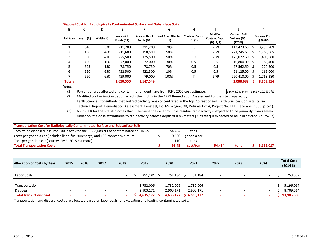| B             |             | D          | E                        |                                    | <b>Disposal Cost for Radiologically Contaminated Surface and Subsurface Soils</b><br>G | н                             |                                                     |                                           |    | К                                |
|---------------|-------------|------------|--------------------------|------------------------------------|----------------------------------------------------------------------------------------|-------------------------------|-----------------------------------------------------|-------------------------------------------|----|----------------------------------|
| Soil Area     | Length (ft) | Width (ft) | Area with<br>Ponds (ft2) | <b>Area Without</b><br>Ponds (ft2) | % of Area Affected<br>(1)                                                              | Contam. Depth<br>$(ft)$ $(1)$ | <b>Modified</b><br>Contam. Depth<br>$(ft)$ $(2, 3)$ | Contam. Soil<br>Volume (ft3)<br>$(F*G*I)$ |    | <b>Disposal Cost</b><br>@\$8/ft3 |
|               | 640         | 330        | 211.200                  | 211.200                            | 70%                                                                                    | 13                            | 2.79                                                | 412,473.60                                | Ś  | 3,299,789                        |
|               | 460         | 460        | 211,600                  | 158.599                            | 50%                                                                                    | 15                            | 2.79                                                | 221,245.61                                | -Ŝ | 1,769,965                        |
| 3             | 550         | 410        | 225,500                  | 125,500                            | 50%                                                                                    | 10                            | 2.79                                                | 175,072.50 \$                             |    | 1,400,580                        |
| 4             | 450         | 160        | 72,000                   | 72,000                             | 30%                                                                                    | 0.5                           | 0.5                                                 | 10,800.00 \$                              |    | 86,400                           |
| 5             | 525         | 150        | 78.750                   | 78.750                             | 70%                                                                                    | 0.5                           | 0.5                                                 | 27,562.50 \$                              |    | 220,500                          |
| 6             | 650         | 650        | 422,500                  | 422,500                            | 10%                                                                                    | 0.5                           | 0.5                                                 | $21,125.00$ \$                            |    | 169,000                          |
|               | 660         | 650        | 429,000                  | 79,000                             | 100%                                                                                   |                               | 2.79                                                | 220,410.00                                |    | 1,763,280                        |
| <b>Totals</b> |             |            | 1,650,550                | 1,147,549                          |                                                                                        |                               |                                                     | 1,088,689                                 |    | 8,709,514                        |

*Notes:*

(1) Percent of area affected and contamination depth are from ICF's 2002 cost estimate.  $1 \text{ m} = 3.28084 \text{ ft}; 1 \text{ m} = 10.7639 \text{ ft}$ 

(2) Modified contamination depth reflects the finding in the 1993 Remediation Assessment for the site prepared by Earth Sciences Consultants that soil radioactivity was concentrated in the top 2.5 feet of soil (Earth Sciences Consultants, Inc. Technical Report, Remediation Assessment, Fansteel, Inc. Muskogee, OK, Volume 1 of 4, Project No. 111, December 1993, p. 5‐1).

(3) NRC's SER for the site also notes that "…because the dose from the residual radioactivity is expected to be primarily from gamma radiation, the dose attributable to radioactivity below <sup>a</sup> depth of 0.85 meters [2.79 feet] is expected to be insignificant" (p. 25/57).

| <b>Transportation Cost for Radiologically Contaminated Surface and Subsurface Soils</b>        |      |      |      |        |              |              |             |        |      |                          |                                                 |
|------------------------------------------------------------------------------------------------|------|------|------|--------|--------------|--------------|-------------|--------|------|--------------------------|-------------------------------------------------|
| Total to be disposed (assume 100 lbs/ft3 for the 1,088,689 ft3 of contaminated soil in Col. J) |      |      |      |        |              | 54,434       | tons        |        |      |                          |                                                 |
| Costs per gondola car (includes liner, fuel surcharge, and 100-ton/car minimum)                |      |      |      |        |              | 10,500       | gondola car |        |      |                          |                                                 |
| Tons per gondola car (source: FMRI 2015 estimate)                                              |      |      |      |        |              | 110          | tons        |        |      |                          |                                                 |
| <b>Total Transportation Costs</b>                                                              |      |      |      |        |              | 95.45        | cost/ton    | 54,434 | tons | 5,196,017                |                                                 |
|                                                                                                |      |      |      |        |              |              |             |        |      |                          |                                                 |
|                                                                                                |      |      |      |        |              |              |             |        |      |                          |                                                 |
| <b>Allocation of Costs by Year</b>                                                             | 2015 | 2016 | 2017 | 2018   | 2019         | 2020         | 2021        | 2022   | 2023 | 2024                     | <b>Total Cost</b><br>$(2014 \text{ } \text{S})$ |
|                                                                                                |      |      |      |        |              |              |             |        |      |                          |                                                 |
| Labor Costs                                                                                    |      |      |      |        | $251,184$ \$ | $251,184$ \$ | 251,184     |        |      | $\overline{\phantom{a}}$ | 753,552                                         |
|                                                                                                |      |      |      |        |              |              |             |        |      |                          |                                                 |
| Transportation                                                                                 |      |      |      | ۰      | 1,732,006    | 1,732,006    | 1,732,006   |        |      | $\sim$                   | 5,196,017                                       |
| Disposal                                                                                       |      |      |      | $\sim$ | 2,903,171    | 2,903,171    | 2,903,171   |        |      | $\sim$                   | 8,709,514                                       |
| <b>Total trans. &amp; disposal</b>                                                             |      |      |      | ۰      | 4,635,177    | 4,635,177    | \$4,635,177 |        |      |                          | 13,905,530                                      |

Transportation and disposal costs are allocated based on labor costs for excavating and loading contaminated soils.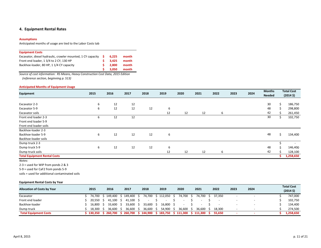### **4. Equipment Rental Rates**

#### **Assumptions**

Anticipated months of usage are tied to the Labor Costs tab

| <b>Equipment Costs</b>                                                         |     |       |       |
|--------------------------------------------------------------------------------|-----|-------|-------|
| Excavator, diesel hydraulic, crawler mounted, 1 CY capacity $\dot{\mathsf{S}}$ |     | 6.225 | month |
| Front end loader, 1 3/4 to 2 CY, 130 HP                                        |     | 3.425 | month |
| Backhoe-loader, 80 HP, 1 1/4 CY capacity                                       | s.  | 2.800 | month |
|                                                                                | -S. | 3,050 | month |

*Source of cost information: RS Means, Heavy Construction Cost Data, 2015 Edition (reference section, beginning p. 513)*

### **Anticipated Months of Equipment Usage**

|                                     |      |      |      |      |      |      |      |      |      |      | <b>Months</b> |    | <b>Total Cost</b>    |
|-------------------------------------|------|------|------|------|------|------|------|------|------|------|---------------|----|----------------------|
| Equipment                           | 2015 | 2016 | 2017 | 2018 | 2019 | 2020 | 2021 | 2022 | 2023 | 2024 | <b>Needed</b> |    | $(2014 \; \text{S})$ |
|                                     |      |      |      |      |      |      |      |      |      |      |               |    |                      |
| Excavator 2-3                       | 6    | 12   | 12   |      |      |      |      |      |      |      | 30            | Ś. | 186,750              |
| Excavator 5-9                       | 6    | 12   | 12   | 12   | 6    |      |      |      |      |      | 48            |    | 298,800              |
| Excavator soils                     |      |      |      |      | 12   | 12   | 12   | 6    |      |      | 42            |    | 261,450              |
| Front end loader 2-3                | 6    | 12   | 12   |      |      |      |      |      |      |      | 30            |    | 102,750              |
| Front end loader 5-9                |      |      |      |      |      |      |      |      |      |      |               |    |                      |
| Front end loader soils              |      |      |      |      |      |      |      |      |      |      |               |    |                      |
| Backhoe-loader 2-3                  |      |      |      |      |      |      |      |      |      |      |               |    |                      |
| Backhoe-loader 5-9                  | 6    | 12   | 12   | 12   | 6    |      |      |      |      |      | 48            | Ś. | 134,400              |
| Backhoe-loader soils                |      |      |      |      |      |      |      |      |      |      |               |    |                      |
| Dump truck 2-3                      |      |      |      |      |      |      |      |      |      |      |               |    |                      |
| Dump truck 5-9                      | 6    | 12   | 12   | 12   | 6    |      |      |      |      |      | 48            |    | 146,400              |
| Dump truck soils                    |      |      |      |      | 12   | 12   | 12   | 6    |      |      | 42            | ς. | 128,100              |
| <b>Total Equipment Rental Costs</b> |      |      |      |      |      |      |      |      |      |      |               |    | 1,258,650            |
|                                     |      |      |      |      |      |      |      |      |      |      |               |    |                      |

*Notes:*

2‐3 <sup>=</sup> used for WIP from ponds 2 & 3

5‐9 <sup>=</sup> used for CaF2 from ponds 5‐9

soils <sup>=</sup> used for additional contaminated soils

#### **Equipment Rental Costs by Year**

| <b>Allocation of Costs by Year</b> | 2015      | 2016                                                                          | 2017        | 2018        | 2019                     | 2020        | 2021                | 2022   | 2023 | 2024                     |  | <b>Total Cost</b><br>(2014S) |
|------------------------------------|-----------|-------------------------------------------------------------------------------|-------------|-------------|--------------------------|-------------|---------------------|--------|------|--------------------------|--|------------------------------|
| Excavator                          |           | ; 74,700 \$ 149,400 \$ 149,400 \$ 74,700 \$ 112,050 \$                        |             |             |                          |             | 74,700 \$ 74,700 \$ | 37.350 |      | $\overline{\phantom{0}}$ |  | 747,000                      |
| Front end loader                   | 20.550 \$ | $41.100 \pm 5$                                                                | 41.100 \$   |             | $\overline{\phantom{0}}$ |             |                     |        |      |                          |  | 102,750                      |
| Backhoe-loader                     | 16.800    | 33.600 \$                                                                     | 33,600 \$   | 33,600 \$   | $16,800 \quad $$         |             |                     |        |      | $\overline{\phantom{0}}$ |  | 134,400                      |
| Dump truck                         | 18.300    | $36,600$ \$                                                                   | $36,600$ \$ | $36,600$ \$ | 54,900                   | $36,600$ \$ | 36,600 \$           | 18.300 |      |                          |  | 274.500                      |
| <b>Total Equipment Costs</b>       |           | ;130,350 \$ 260,700 \$ 260,700 \$ 144,900 \$ 183,750 \$ 111,300 \$ 111,300 \$ |             |             |                          |             |                     | 55.650 |      |                          |  | 1,258,650                    |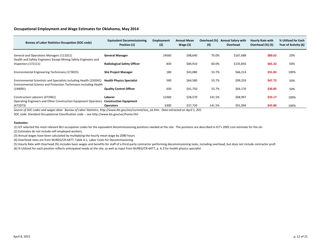## **Occupational Employment and Wage Estimates for Oklahoma, May 2014**

| <b>Bureau of Labor Statistics Occupation (SOC code)</b>                                                                                 | <b>Equivalent Decommissioning</b><br>Position (1) | <b>Employment</b><br>(2) | <b>Annual Mean</b><br>Wage $(3)$ | Overhead (%)<br>(4) | <b>Annual Salary with</b><br>Overhead | <b>Hourly Rate with</b><br>Overhead (%) (5) | % Utilized for Each<br>Year of Activity (6) |
|-----------------------------------------------------------------------------------------------------------------------------------------|---------------------------------------------------|--------------------------|----------------------------------|---------------------|---------------------------------------|---------------------------------------------|---------------------------------------------|
| General and Operations Managers (111021)<br>Health and Safety Engineers Except Mining Safety Engineers and                              | <b>General Manager</b>                            | 24560                    | \$98,640                         | 70.0%               | \$167,688                             | \$80.62                                     | 20%                                         |
| Inspectors (172111)                                                                                                                     | <b>Radiological Safety Officer</b>                | 830                      | \$84,910                         | 60.0%               | \$135,856                             | \$65.32                                     | 50%                                         |
| Environmental Engineering Technicians (173025)                                                                                          | <b>Site Project Manager</b>                       | 180                      | \$43,080                         | 53.7%               | \$66,214                              | \$31.83                                     | 100%                                        |
| Environmental Scientists and Specialists Including Health (192041)<br>Environmental Science and Protection Technicians Including Health | <b>Health Physics Specialist</b>                  | 590                      | \$64,580                         | 53.7%               | \$99,259                              | \$47.72                                     | 50%                                         |
| (194091)                                                                                                                                | <b>Quality Control Officer</b>                    | 630                      | \$41,750                         | 53.7%               | \$64,170                              | \$30.85                                     | 50%                                         |
| Construction Laborers (472061)<br>Operating Engineers and Other Construction Equipment Operators                                        | Laborer<br><b>Construction Equipment</b>          | 12360                    | \$28,570                         | 141.5%              | \$68,997                              | \$33.17                                     | 100%                                        |
| (472073)                                                                                                                                | <b>Operators</b>                                  | 6300                     | \$37,720                         | 141.5%              | \$91,094                              | \$43.80                                     | 100%                                        |

Source of SOC codes and wages data: Bureau of Labor Statistics, http://www.bls.gov/oes/current/oes\_ok.htm. Data extracted on April 1, 201.

SOC code: Standard Occupational Classification code ‐‐ see http://www.bls.gov/soc/home.htm

#### *Footnotes:*

(1) ICF selected the most relevant BLS occupation codes for the equivalent decommissioning positions needed at the site. The positions are described in ICF's 2002 cost estimate for the site

(2) Estimates do not include self‐employed workers.

(3) Annual wages have been calculated by multiplying the hourly mean wage by 2080 hours

(4) Overhead rates are from NUREG/CR‐6477, Table A.1, Labor Costs for Decommissioning

(5) Hourly Rate with Overhead (%) includes basic wages and benefits for staff of <sup>a</sup> third‐party contractor performing decommissioning tasks, including overhead, but does not include contractor profi

(6) % Utilized for each position reflects anticipated needs at the site, as well as input from NUREG/CR‐6477, p. A.3 for health physics specialist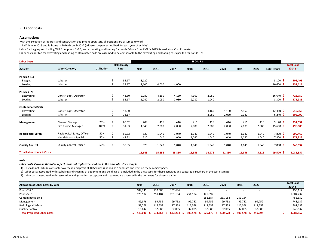#### **5. Labor Costs**

#### **Assumptions**

With the exception of laborers and construction equipment operators, all positions are assumed to work

half‐time in 2015 and full‐time in 2016 through 2022 (adjusted by percent utilized for each year of activity).

Labor for bagging and loading WIP from ponds 2 & 3, and excavating and loading for ponds 5‐9 are from FMRI's 2015 Remediation Cost Estimate.

Labor costs per ton for excavating and loading contaminated soils are assumed to be comparable to the excavating and loading costs per ton for ponds 5‐9.

| <b>Labor Costs</b>                   |                                  | HOURS              |             |        |        |        |        |        |        |        |       |                    |                      |  |
|--------------------------------------|----------------------------------|--------------------|-------------|--------|--------|--------|--------|--------|--------|--------|-------|--------------------|----------------------|--|
|                                      |                                  |                    | 2014 Hourly |        |        |        |        |        |        |        |       |                    | <b>Total Cost</b>    |  |
| <b>Activity</b>                      | <b>Labor Category</b>            | <b>Utilization</b> | Rate        | 2015   | 2016   | 2017   | 2018   | 2019   | 2020   | 2021   | 2022  | <b>Total Hours</b> | (2014 <sup>5</sup> ) |  |
|                                      |                                  |                    |             |        |        |        |        |        |        |        |       |                    |                      |  |
| Ponds 2 & 3                          |                                  |                    |             |        |        |        |        |        |        |        |       |                    |                      |  |
| <b>Bagging</b>                       | Laborer                          |                    | \$<br>33.17 | 3,120  |        |        |        |        |        |        |       | $3,120$ \$         | 103,495              |  |
| Loading                              | Laborer                          |                    | 33.17       | 2,600  | 4,000  | 4,000  |        |        |        |        |       | $10,600$ \$        | 351,617              |  |
| <b>Ponds 5 - 9</b>                   |                                  |                    |             |        |        |        |        |        |        |        |       |                    |                      |  |
| Excavating                           | Constr. Eqpt. Operator           |                    | 43.80<br>\$ | 2,080  | 4,160  | 4,160  | 4,160  | 2,080  |        |        |       | 16,640 \$          | 728,750              |  |
| Loading                              | Laborer                          |                    | 33.17       | 1,040  | 2,080  | 2,080  | 2,080  | 1,040  |        |        |       | $8,320$ \$         | 275,986              |  |
| <b>Contaminated Soils</b>            |                                  |                    |             |        |        |        |        |        |        |        |       |                    |                      |  |
| Excavating:                          | Constr. Eqpt. Operator           |                    | 43.80       |        |        |        |        | 4,160  | 4,160  | 4,160  |       | 12,480 \$          | 546,563              |  |
| Loading                              | Laborer                          |                    | 33.17       |        |        |        |        | 2,080  | 2,080  | 2,080  |       | $6,240$ \$         | 206,990              |  |
| Management                           | <b>General Manager</b>           | 20%                | 80.62<br>Ŝ. | 208    | 416    | 416    | 416    | 416    | 416    | 416    | 416   | 3,120 \$           | 251,532              |  |
|                                      | Site Project Manager             | 100%               | 31.83       | 1,040  | 2,080  | 2,080  | 2,080  | 2,080  | 2,080  | 2,080  | 2,080 | 15,600 \$          | 496,605              |  |
|                                      |                                  | 50%                |             |        |        |        |        |        |        |        |       |                    |                      |  |
| <b>Radiological Safety</b>           | Radiological Safety Officer      |                    | 65.32       | 520    | 1,040  | 1,040  | 1,040  | 1,040  | 1,040  | 1,040  | 1,040 | $7,800$ \$         | 509,460              |  |
|                                      | <b>Health Physics Specialist</b> | 50%                | 47.72       | 520    | 1,040  | 1,040  | 1,040  | 1,040  | 1,040  | 1,040  | 1,040 | $7,800$ \$         | 372,223              |  |
| <b>Quality Control</b>               | <b>Quality Control Officer</b>   | 50%                | 30.85       | 520    | 1,040  | 1,040  | 1,040  | 1,040  | 1,040  | 1,040  | 1,040 | $7,800$ \$         | 240,637              |  |
| <b>Total Labor Hours &amp; Costs</b> |                                  |                    |             | 11,648 | 15,856 | 15,856 | 11,856 | 14,976 | 11,856 | 11,856 | 5,616 | 99,520 \$          | 4,083,857            |  |

#### *Note:*

*Labor costs shown in this table reflect those not captured elsewhere in the estimate. For example:*

1) Costs do not include contractor overhead and profit of 10% which is added as <sup>a</sup> separate line item on the Summary page.

2) Labor costs associated with scabbling and cleaning of equipment and buildings are included in the units costs for these activities and captured elsewhere in the cost estimate.

3) Labor costs associated with restoration and groundwater capture and treament are captured in the unit costs for those activities.

| <b>Allocation of Labor Costs by Year</b> | 2015    | 2016    | 2017    | 2018           | 2019    | 2020    | 2021    | 2022    | <b>Total Cost</b><br>(2014S) |
|------------------------------------------|---------|---------|---------|----------------|---------|---------|---------|---------|------------------------------|
| Ponds 2 & 3                              | 189,741 | 132,686 | 132,686 |                |         |         |         |         | 455,112                      |
| Ponds 5 - 9                              | 125,592 | 251,184 | 251,184 | 251,184        | 125,592 |         |         |         | 1,004,737                    |
| <b>Contaminated Soils</b>                |         |         |         |                | 251,184 | 251,184 | 251,184 |         | 753,552                      |
| Management                               | 49,876  | 99,752  | 99,752  | 99,752         | 99,752  | 99,752  | 99,752  | 99,752  | 748,137                      |
| Radiological Safety                      | 58,779  | 117,558 | 117,558 | 117,558        | 117,558 | 117,558 | 117,558 | 117,558 | 881,683                      |
| <b>Quality Control</b>                   | 16.042  | 32,085  | 32,085  | 32,085         | 32,085  | 32,085  | 32,085  | 32,085  | 240,637                      |
| <b>Total Projected Labor Costs</b>       | 440.030 | 633.264 | 633.264 | 500,578<br>- 5 | 626,170 | 500,578 | 500.578 | 249.394 | 4,083,857                    |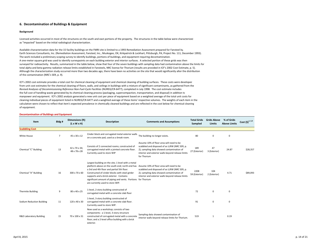#### **6. Decontamination of Buildings & Equipment**

#### **Background**

Licensed activities occurred in most of the structures on the south and east portions of the property. The structures in the table below were characterized as "impacted" based on the initial radiological characterization.

Available characterization data for the 15 facility buildings on the FMRI site is limited to <sup>a</sup> 1993 Remediation Assessment prepared for Fansteel by Earth Sciences Consultants, Inc. (Remediation Assessment, Fansteel, Inc., Muskogee, OK, Kirkpatrick & Lockhart, Pittsburgh, PA, Project No. 111, December 1993). The work included <sup>a</sup> preliminary scoping survey to identify buildings, portions of buildings, and equipment requiring decontamination. A one‐meter square grid was used to identify surveypoints on each building exterior and interior surfaces. A selected portion of these grids was then surveyed for radioactivity. Results, summarized in the table below, show that four of the seven buildings with sampling data had contamination above the limits for total alpha and beta‐gamma radiation release limits established in Fansteels, NRC license for Thorium (results are provided in ICF's 2002 Cost Estimate, p. 5). Although the characterization study occurred more than two decades ago, there have been no activities on the site that would significantly alter the distribution of the contamination (NRC's SER, p. 9).

ICF's 2002 cost estimate provides <sup>a</sup> total cost for chemical cleaning of equipment and chemical cleaning of building surfaces. These costs were developed from unit cost estimates for the chemical cleaning of floors, walls, and ceilings in buildings with <sup>a</sup> mixture of significant contaminants, as gathered from the *Revised Analyses of Decommissioning Reference Non‐Fuel‐Cycle Facilities* (NUREG/CR‐6477), completed in July 1998. The cost estimate includes the full cost of handling waste generated by its chemical cleaning process (packaging, supercompaction, transportation, and disposal) in addition to manpower and equipment. ICF's 2002 analysis generated <sup>a</sup> new unit cost per piece of equipment based on <sup>a</sup> weighted average of the total unit costs for cleaning individual pieces of equipment listed in NUREG/CR‐6477 and <sup>a</sup> weighted average of these items' respective volumes. The weights of each item in the calculation were chosen to reflect that item's expected prevalence in chemically cleaned buildings and are reflected in the cost below for chemical cleaning of equipment.

#### **Decontamination of Buildings and Equipment**

| Item                               | Bldg#          | Dimensions (ft)<br>$(L \times W \times H)$ | <b>Description</b>                                                                                                                                                                                                                                                                                                                                                                           | <b>Comments and Assumptions</b>                                                                                                                                                                            | <b>Total Grids</b><br>Sampled | <b>Grids Above</b><br>Limits | % of Grids<br><b>Above Limits</b> | Cost $(5)^{1, 2, 3}$ |
|------------------------------------|----------------|--------------------------------------------|----------------------------------------------------------------------------------------------------------------------------------------------------------------------------------------------------------------------------------------------------------------------------------------------------------------------------------------------------------------------------------------------|------------------------------------------------------------------------------------------------------------------------------------------------------------------------------------------------------------|-------------------------------|------------------------------|-----------------------------------|----------------------|
| <b>Scabbling Cost</b>              |                |                                            |                                                                                                                                                                                                                                                                                                                                                                                              |                                                                                                                                                                                                            |                               |                              |                                   |                      |
| White House                        | $\overline{7}$ | 45 x 30 x 12                               | Cinder block and corrugated metal exterior walls<br>on a concrete pad, used as a break room.                                                                                                                                                                                                                                                                                                 | The building no longer exists.                                                                                                                                                                             | 80                            | 0                            | $\mathbf 0$                       |                      |
| Chemical "C" Building              | 13             | 42 x 70 x 34;<br>48 x 78 x 28              | Consists of 2 connected rooms; constructed of<br>corrugated metal with a jointed concrete floor.<br>Currently used to store WIP                                                                                                                                                                                                                                                              | Assume 10% of floor area will need to be<br>scabbled and disposed of as LLRW (NRC SER, p.<br>2); sampling data showed contamination of<br>interior and exterior walls beyond release limits<br>for Thorium | 189<br>27 (Exterior)          | 47<br>3 (Exterior)           | 24.87                             | \$28,357             |
| Chemical "A" Building              | 16             | 300 x 70 x 60                              | Largest building on the site; 1 level with a metal<br>platform above on the south end; north end has Assume 10% of floor area will need to be<br>a 3rd and 4th floor and partial 5th floor.<br>Constructed of cinder blocks with steel girder<br>supports and a brick exterior. Contains<br>significant amount of piping and vents. Portions for Thorium<br>are currently used to store WIP. | scabbled and disposed of as LLRW (NRC SER, p.<br>2); sampling data showed contamination of<br>interior and exterior walls beyond release limits                                                            | 2208<br>59 (Exterior)         | 104<br>2 (Exterior)          | 4.71                              | \$89,093             |
| <b>Thermite Building</b>           | 9              | 80 x 40 x 25                               | 1-level, 2-story building constructed of<br>corrugated metal with a concrete slab floor                                                                                                                                                                                                                                                                                                      |                                                                                                                                                                                                            | 72                            | 0                            | $\mathbf 0$                       |                      |
| Sodium Reduction Building          | 11             | 120 x 40 x 30                              | 1-level, 3-story building constructed of<br>corrugated metal with a concrete slab floor.<br>Currently used to store WIP.                                                                                                                                                                                                                                                                     |                                                                                                                                                                                                            | 91                            | 0                            | $\mathbf 0$                       |                      |
| <b>R&amp;D Laboratory Building</b> | 15             | 70 x 100 x 31                              | Now used as a workshop; consists of two<br>components: a 1-level, 3-story structure<br>constructed of corrugated metal with a concrete<br>floor; and a 2-level office building with a brick<br>exterior.                                                                                                                                                                                     | Sampling data showed contamination of<br>interior walls beyond release limits for Thorium.                                                                                                                 | 519                           | 1                            | 0.19                              |                      |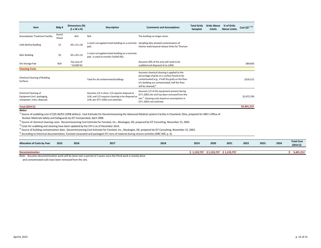| Item                                                                              | Bldg#          | Dimensions (ft)<br>$(L \times W \times H)$ | <b>Description</b>                                                                                                                       | <b>Comments and Assumptions</b>                                                                                                                                                                                                       | <b>Total Grids</b><br>Sampled | <b>Grids Above</b><br>Limits | % of Grids<br><b>Above Limits</b> | Cost $(5)^{1, 2, 3}$ |
|-----------------------------------------------------------------------------------|----------------|--------------------------------------------|------------------------------------------------------------------------------------------------------------------------------------------|---------------------------------------------------------------------------------------------------------------------------------------------------------------------------------------------------------------------------------------|-------------------------------|------------------------------|-----------------------------------|----------------------|
| <b>Groundwater Treatment Facility</b>                                             | Gunch<br>House | N/A                                        | N/A                                                                                                                                      | The building no longer exists.                                                                                                                                                                                                        |                               |                              |                                   |                      |
| Little Bertha Building                                                            | 12             | 44 x 15 x 18                               | 1-room corrugated metal building on a concrete<br>pad.                                                                                   | Sampling data showed contamination of<br>interior walls beyond release limits for Thorium.                                                                                                                                            |                               |                              |                                   |                      |
| Weir Building                                                                     | 10             | 20 x 20 x 14                               | 1-room corrugated metal building on a concrete<br>pad. Is used to monitor Outfall 001.                                                   |                                                                                                                                                                                                                                       |                               |                              |                                   |                      |
| Ore Storage Pad                                                                   | N/A            | has area of<br>$^{\sim}$ 10,000 ft2        |                                                                                                                                          | Assusme 20% of the area will need to be<br>scabbled and disposed of as LLRW.                                                                                                                                                          |                               |                              |                                   | \$84,850             |
| <b>Cleaning Costs</b>                                                             |                |                                            |                                                                                                                                          |                                                                                                                                                                                                                                       |                               |                              |                                   |                      |
| Chemical Cleaning of Building<br>Surfaces                                         |                |                                            | Total for all contaminated buildings                                                                                                     | Assumes chemical cleaning is applied to the<br>percentage of grids on a surface found to be<br>contaminated (e.g., if half the grids on the floor<br>of a building are contaminated, half the floor<br>will be cleaned). <sup>4</sup> |                               |                              |                                   | \$226,212            |
| Chemical Cleaning of<br>Equipment (incl. packaging,<br>manpower, trans, disposal) |                |                                            | Assumes 1/3 is clean; 1/3 requires disposal as<br>LLW, and 1/3 requires cleaning to be disposed as<br>LLW, per ICF's 2002 cost estimate. | Assumes 1/2 of the equipment present during<br>ICF's 2002 site visit has been removed from the<br>site. <sup>5</sup> Cleaning costs based on assumptions in<br>ICF's 2002 cost estimate.                                              |                               |                              |                                   | \$2,972,700          |
| Total (2014 \$)                                                                   |                |                                            |                                                                                                                                          |                                                                                                                                                                                                                                       |                               |                              |                                   | \$3,401,212          |

#### *Notes:*

<sup>1)</sup> Source of scabbling cost of \$29.36/ft2 (1998 dollars): Cost Estimate for Decommissioning the Advanced Medical systems Facility in Cleveland, Ohio, prepared for NRC's Office of

Nuclear Materials Safety and Safeguards by ICF Incorporated, April 1998.

<sup>2)</sup> Source of chemical cleaning costs: Decommissioning Cost Estimate for Fansteel, Inc., Muskogee, OK, prepared by ICF Consulting, November 15, 2002.

 $3)$  Costs for scabbling and cleaning have been updated by the CPI-U as of December 2014.

<sup>4)</sup> Source of building contamination data: Decommissioning Cost Estimate for Fansteel, Inc., Muskogee, OK, prepared by ICF Consulting, November 15, 2002.

<sup>5)</sup> According to historical documentation, Fansteel excavated and packaged 371 tons of material during closure activities (NRC SER, p. 4).

| <b>Allocation of Costs by Year</b> | 2015 | 2016 | 2017 | 2018 | 2019      | 2020      | 2021        | 2022 | 2023 | 2024 | <b>Total Cost</b><br>$(2014 \; \text{S})$ |
|------------------------------------|------|------|------|------|-----------|-----------|-------------|------|------|------|-------------------------------------------|
|                                    |      |      |      |      |           |           |             |      |      |      |                                           |
| <b>Decontamination</b>             |      |      |      |      | 1,133,737 | 1,133,737 | \$1,133,737 |      |      |      | 3,401,212                                 |

*Note:* Assumes decontamination work will be done over <sup>a</sup> period of 3 years once the Pond work is mostly done

and contaminated soils have been removed from the site.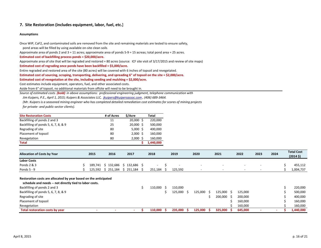## **7. Site Restoration (includes equipment, labor, fuel, etc.)**

#### **Assumptions**

Once WIP, CaF2, and contaminated soils are removed from the site and remaining materials are tested to ensure safety, pond areas will be filled by using available on‐site clean soils.

Approximate area of ponds 2 and 3 <sup>=</sup> 11 acres; approximate area of ponds 5‐9 <sup>=</sup> 15 acreas; total pond area <sup>=</sup> 25 acres.

#### **Estimated cost of backfilling process ponds <sup>=</sup> \$20,000/acre.**

Approximate area of site that will be regraded and restored <sup>=</sup> 80 acres (source: ICF site visit of 3/17/2015 and review of site maps)

#### **Estimated cost of regrading once ponds have been backfilled <sup>=</sup> \$5,000/acre.**

Entire regraded and restored area of the site (80 acres) will be covered with 6 inches of topsoil and revegetated.

Estimated cost of sourcing, scraping, transporting, delivering, and spreading 6" of topsoil on the site = \$2,000/acre.

**Estimated cost of revegetation at the site, including seeding and mulching <sup>=</sup> \$2,000/acre.**

Cost estimates include equipment, operators, fuel, and other associated costs.

Aside from 6" of topsoil, no additional materials from offsite will need to be brought in.

*Source of estimated costs (bold) in above assumptions: professional engineering judgment, telephone communication with*

*Jim Kuipers, P.E., April 1, 2015; Kuipers & Associates LLC, jkuipers@kuipersassoc.com , (406) 689‐3464.*

(Mr. Kuipers is a seasoned mining engineer who has completed detailed remediation cost estimates for scores of mining projects *for private‐ and public‐sector clients).*

| <b>Site Restoration Costs</b>        | # of Acres | \$/Acre       | Total     |
|--------------------------------------|------------|---------------|-----------|
| Backfilling of ponds 2 and 3         | 11         | 20.000S       | 220,000   |
| Backfilling of ponds 5, 6, 7, 8, & 9 | 25         | $20,000$ \$   | 500,000   |
| Regrading of site                    | 80         | $5,000 \;$ \$ | 400,000   |
| Placement of topsoil                 | 80         | 2.000S        | 160,000   |
| Revegetation                         | 80         | 2.000         | 160,000   |
| <b>Total</b>                         |            |               | 1,440,000 |

| <b>Allocation of Costs by Year</b> | 2015    | 2016    | 2017              | 2018    | 2019    | 2020                     | 2021                     | 2022                     | 2023 | 2024 | <b>Total Cost</b><br>(2014 <sup>5</sup> ) |
|------------------------------------|---------|---------|-------------------|---------|---------|--------------------------|--------------------------|--------------------------|------|------|-------------------------------------------|
| <b>Labor Costs</b>                 |         |         |                   |         |         |                          |                          |                          |      |      |                                           |
| Ponds 2 & 3                        | 189.741 |         | 132,686 \$132,686 |         |         | $\sim$                   | $\overline{\phantom{a}}$ | $\sim$                   |      |      | 455,112                                   |
| Ponds $5 - 9$                      | 125.592 | 251.184 | $\hat{ }$ 251,184 | 251.184 | 125,592 | $\overline{\phantom{0}}$ | $\overline{\phantom{0}}$ | $\overline{\phantom{a}}$ |      |      | 1,004,737                                 |

#### **Restoration costs are allocated by year based on the anticipated**

| schedule and needs -- not directly tied to labor costs. |                          |  |         |         |         |         |         |  |  |           |
|---------------------------------------------------------|--------------------------|--|---------|---------|---------|---------|---------|--|--|-----------|
| Backfilling of ponds 2 and 3                            |                          |  | 110,000 | 110.000 |         |         |         |  |  | 220,000   |
| Backfilling of ponds 5, 6, 7, 8, & 9                    |                          |  |         | 125.000 | 125.000 | 125.000 | 125.000 |  |  | 500,000   |
| Regrading of site                                       |                          |  |         |         |         | 200,000 | 200,000 |  |  | 400,000   |
| Placement of topsoil                                    |                          |  |         |         |         |         | 160,000 |  |  | 160,000   |
| Revegetation                                            |                          |  |         |         |         |         | 160.000 |  |  | 160.000   |
| Total restoration costs by year                         | $\overline{\phantom{a}}$ |  | 110.000 | 235.000 | 125.000 | 325.000 | 645.000 |  |  | 1,440,000 |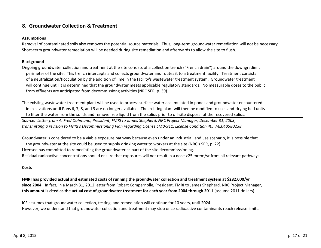# **8. Groundwater Collection & Treatment**

# **Assumptions**

Removal of contaminated soils also removes the potential source materials. Thus, long‐term groundwater remediation will not be necessary. Short‐term groundwater remediation will be needed during site remediation and afterwards to allow the site to flush.

# **Background**

Ongoing groundwater collection and treatment at the site consists of <sup>a</sup> collection trench ("French drain") around the downgradient perimeter of the site. This trench intercepts and collects groundwater and routes it to <sup>a</sup> treatment facility. Treatment consists of a neutralization/flocculation by the addition of lime in the facility's wastewater treatment system. Groundwater treatment will continue until it is determined that the groundwater meets applicable regulatory standards. No measurable doses to the public from effluents are anticipated from decommissiong activities (NRC SER, p. 39).

The existing wastewater treatment plant will be used to process surface water accumulated in ponds and groundwater encountered in excavations until Pons 6, 7, 8, and 9 are no longer available. The existing plant will then be modified to use sand‐drying bed units to filter the water from the solids and remove free liquid from the solids prior to off‐site disposal of the recovered solids.

Source: Letter from A. Fred Dohmann, President, FMRI to James Shepherd, NRC Project Manager, December 31, 2003, transmitting a revision to FMRI's Decommissioning Plan regarding License SMB-911, License Condition 40. ML040580238.

Groundwater is considered to be <sup>a</sup> viable exposure pathway because even under an industrial land use scenario, it is possible that the groundwater at the site could be used to supply drinking water to workers at the site (NRC's SER, p. 22). Licensee has committed to remediating the groundwater as part of the site decommisssioning. Residual radioactive concentrations should ensure that exposures will not result in <sup>a</sup> dose >25 mrem/yr from all relevant pathways.

# **Costs**

FMRI has provided actual and estimated costs of running the groundwater collection and treatment system at \$282,000/yr **since 2004.** In fact, in <sup>a</sup> March 31, 2012 letter from Robert Compernolle, President, FMRI to James Shepherd, NRC Project Manager, this amount is cited as the <u>actual cost</u> of groundwater treatment for each year from 2004 through 2011 (assume 2011 dollars).

ICF assumes that groundwater collection, testing, and remediation will continue for 10 years, until 2024. However, we understand that groundwater collection and treatment may stop once radioactive contaminants reach release limits.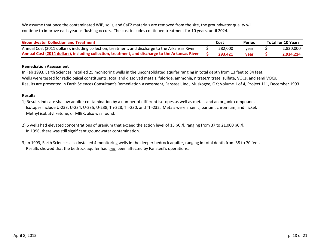We assume that once the contaminated WIP, soils, and CaF2 materials are removed from the site, the groundwater quality will continue to improve each year as flushing occurs. The cost includes continued treatment for 10 years, until 2024.

| <b>Groundwater Collection and Treatment</b>                                                      | Cost    | Period | <b>Total for 10 Years</b> |
|--------------------------------------------------------------------------------------------------|---------|--------|---------------------------|
| Annual Cost (2011 dollars), including collection, treatment, and discharge to the Arkansas River | 282,000 | vear   | 2,820,000                 |
| Annual Cost (2014 dollars), including collection, treatment, and discharge to the Arkansas River | 293.421 | vear   | 2.934.214                 |

## **Remediation Assessment**

In Feb 1993, Earth Sciences installed 25 monitoring wells in the unconsolidated aquifer ranging in total depth from 13 feet to 34 feet. Wells were tested for radiological constituents, total and dissolved metals, fuloride, ammonia, nitrate/nitrate, sulfate, VOCs, and semi VOCs. Results are presented in Earth Sciences Consultant's Remediation Assessment, Fansteel, Inc., Muskogee, OK; Volume 1 of 4, Project 111, December 1993.

# **Results**

1) Results indicate shallow aquifer contamination by <sup>a</sup> number of different isotopes,as well as metals and an organic compound. Isotopes include U‐233, U‐234, U‐235, U‐238, Th‐228, Th‐230, and Th‐232. Metals were arsenic, barium, chromium, and nickel. Methyl isobutyl ketone, or MIBK, also was found.

- 2) 6 wells had elevated concentrations of uranium that exceed the action level of 15 pCi/l, ranging from 37 to 21,000 pCi/l. In 1996, there was still significant groundwater contamination.
- 3) In 1993, Earth Sciences also installed 4 monitoring wells in the deeper bedrock aquifer, ranging in total depth from 38 to 70 feet. Results showed that the bedrock aquifer had *not* been affected by Fansteel's operations.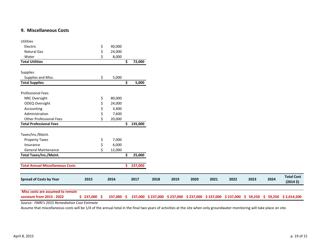# **9. Miscellaneous Costs**

| Misc costs are assumed to remain<br>constant from 2015 - 2022 | \$237,000\$ |     | 237,000 \$ |     |         |      |      |      |      |      |      |      | 237,000 \$237,000 \$237,000 \$237,000 \$237,000 \$237,000 \$ 59,250 \$ 59,250 \$2,014,500 |
|---------------------------------------------------------------|-------------|-----|------------|-----|---------|------|------|------|------|------|------|------|-------------------------------------------------------------------------------------------|
| <b>Spread of Costs by Year</b>                                | 2015        |     | 2016       |     | 2017    | 2018 | 2019 | 2020 | 2021 | 2022 | 2023 | 2024 | <b>Total Cost</b><br>(2014 <sup>5</sup> )                                                 |
| <b>Total Annual Miscellaneous Costs</b>                       |             |     |            | \$. | 237,000 |      |      |      |      |      |      |      |                                                                                           |
| <b>Total Taxes/Ins./Maint.</b>                                |             |     |            | \$  | 25,000  |      |      |      |      |      |      |      |                                                                                           |
| <b>General Maintenance</b>                                    |             |     | 12,000     |     |         |      |      |      |      |      |      |      |                                                                                           |
| Insurance                                                     |             |     | 6,000      |     |         |      |      |      |      |      |      |      |                                                                                           |
| <b>Property Taxes</b>                                         |             | Ş   | 7,000      |     |         |      |      |      |      |      |      |      |                                                                                           |
| Taxes/Ins./Maint.                                             |             |     |            |     |         |      |      |      |      |      |      |      |                                                                                           |
| <b>Total Professional Fees</b>                                |             |     |            | \$  | 135,000 |      |      |      |      |      |      |      |                                                                                           |
| <b>Other Professional Fees</b>                                |             |     | 20,000     |     |         |      |      |      |      |      |      |      |                                                                                           |
| Administration                                                |             |     | 7,600      |     |         |      |      |      |      |      |      |      |                                                                                           |
| Accounting                                                    |             |     | 3,400      |     |         |      |      |      |      |      |      |      |                                                                                           |
| <b>ODEQ Oversight</b>                                         |             |     | 24,000     |     |         |      |      |      |      |      |      |      |                                                                                           |
| NRC Oversight                                                 |             | \$  | 80,000     |     |         |      |      |      |      |      |      |      |                                                                                           |
| <b>Professional Fees</b>                                      |             |     |            |     |         |      |      |      |      |      |      |      |                                                                                           |
| <b>Total Supplies</b>                                         |             |     |            | \$  | 5,000   |      |      |      |      |      |      |      |                                                                                           |
| Supplies and Misc.                                            |             | \$. | 5,000      |     |         |      |      |      |      |      |      |      |                                                                                           |
| Supplies                                                      |             |     |            |     |         |      |      |      |      |      |      |      |                                                                                           |
| <b>Total Utilities</b>                                        |             |     |            | \$  | 72,000  |      |      |      |      |      |      |      |                                                                                           |
| Water                                                         |             |     | 8,000      |     |         |      |      |      |      |      |      |      |                                                                                           |
| Natural Gas                                                   |             | S   | 24,000     |     |         |      |      |      |      |      |      |      |                                                                                           |
| Electric                                                      |             | \$  | 40,000     |     |         |      |      |      |      |      |      |      |                                                                                           |
| <b>Utilities</b>                                              |             |     |            |     |         |      |      |      |      |      |      |      |                                                                                           |

*Source: FMRI's 2015 Remediation Cost Estimate*

Assume that miscellaneous costs will be 1/4 of the annual total in the final two years of activities at the site when only groundwater monitoring will take place on site.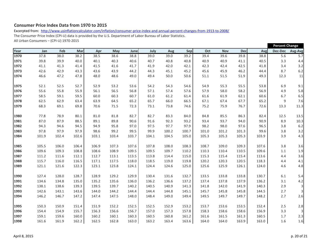# **Consumer Price Index Data from 1970 to 2015**

Excerpted from: http://www.usinflationcalculator.com/inflation/consumer-price-index-and-annual-percent-changes-from-1913-to-2008/ The Consumer Price Index (CPI‐U) data is provided by the U.S. Department of Labor Bureau of Labor Statistics. All Urban Consumers – (CPI‐U) 1970‐2015

|      |       |       |       |       |       |       |       |       |       |       |            |            |       | <b>Percent Change</b> |                         |  |
|------|-------|-------|-------|-------|-------|-------|-------|-------|-------|-------|------------|------------|-------|-----------------------|-------------------------|--|
| Year | Jan   | Feb   | Mar   | Apr   | May   | June  | July  | Aug   | Sep   | Oct   | <b>Nov</b> | <b>Dec</b> | Avg   | <b>Dec-Dec</b>        | Avg-Avg                 |  |
| 1970 | 37.8  | 38.0  | 38.2  | 38.5  | 38.6  | 38.8  | 39.0  | 39.0  | 39.2  | 39.4  | 39.6       | 39.8       | 38.8  | 5.6                   | 5.7                     |  |
| 1971 | 39.8  | 39.9  | 40.0  | 40.1  | 40.3  | 40.6  | 40.7  | 40.8  | 40.8  | 40.9  | 40.9       | 41.1       | 40.5  | 3.3                   | 4.4                     |  |
| 1972 | 41.1  | 41.3  | 41.4  | 41.5  | 41.6  | 41.7  | 41.9  | 42.0  | 42.1  | 42.3  | 42.4       | 42.5       | 41.8  | 3.4                   | 3.2                     |  |
| 1973 | 42.6  | 42.9  | 43.3  | 43.6  | 43.9  | 44.2  | 44.3  | 45.1  | 45.2  | 45.6  | 45.9       | 46.2       | 44.4  | 8.7                   | 6.2                     |  |
| 1974 | 46.6  | 47.2  | 47.8  | 48.0  | 48.6  | 49.0  | 49.4  | 50.0  | 50.6  | 51.1  | 51.5       | 51.9       | 49.3  | 12.3                  | 11                      |  |
| 1975 | 52.1  | 52.5  | 52.7  | 52.9  | 53.2  | 53.6  | 54.2  | 54.3  | 54.6  | 54.9  | 55.3       | 55.5       | 53.8  | 6.9                   | 9.1                     |  |
| 1976 | 55.6  | 55.8  | 55.9  | 56.1  | 56.5  | 56.8  | 57.1  | 57.4  | 57.6  | 57.9  | 58.0       | 58.2       | 56.9  | 4.9                   | 5.8                     |  |
| 1977 | 58.5  | 59.1  | 59.5  | 60.0  | 60.3  | 60.7  | 61.0  | 61.2  | 61.4  | 61.6  | 61.9       | 62.1       | 60.6  | 6.7                   | 6.5                     |  |
| 1978 | 62.5  | 62.9  | 63.4  | 63.9  | 64.5  | 65.2  | 65.7  | 66.0  | 66.5  | 67.1  | 67.4       | 67.7       | 65.2  | 9                     | 7.6                     |  |
| 1979 | 68.3  | 69.1  | 69.8  | 70.6  | 71.5  | 72.3  | 73.1  | 73.8  | 74.6  | 75.2  | 75.9       | 76.7       | 72.6  | 13.3                  | 11.3                    |  |
| 1980 | 77.8  | 78.9  | 80.1  | 81.0  | 81.8  | 82.7  | 82.7  | 83.3  | 84.0  | 84.8  | 85.5       | 86.3       | 82.4  | 12.5                  | 13.5                    |  |
| 1981 | 87.0  | 87.9  | 88.5  | 89.1  | 89.8  | 90.6  | 91.6  | 92.3  | 93.2  | 93.4  | 93.7       | 94.0       | 90.9  | 8.9                   | 10.3                    |  |
| 1982 | 94.3  | 94.6  | 94.5  | 94.9  | 95.8  | 97.0  | 97.5  | 97.7  | 97.9  | 98.2  | 98.0       | 97.6       | 96.5  | 3.8                   | $6.2$                   |  |
| 1983 | 97.8  | 97.9  | 97.9  | 98.6  | 99.2  | 99.5  | 99.9  | 100.2 | 100.7 | 101.0 | 101.2      | 101.3      | 99.6  | 3.8                   | 3.2                     |  |
| 1984 | 101.9 | 102.4 | 102.6 | 103.1 | 103.4 | 103.7 | 104.1 | 104.5 | 105.0 | 105.3 | 105.3      | 105.3      | 103.9 | 3.9                   | 4.3                     |  |
| 1985 | 105.5 | 106.0 | 106.4 | 106.9 | 107.3 | 107.6 | 107.8 | 108.0 | 108.3 | 108.7 | 109.0      | 109.3      | 107.6 | 3.8                   | 3.6                     |  |
| 1986 | 109.6 | 109.3 | 108.8 | 108.6 | 108.9 | 109.5 | 109.5 | 109.7 | 110.2 | 110.3 | 110.4      | 110.5      | 109.6 | 1.1                   | 1.9                     |  |
| 1987 | 111.2 | 111.6 | 112.1 | 112.7 | 113.1 | 113.5 | 113.8 | 114.4 | 115.0 | 115.3 | 115.4      | 115.4      | 113.6 | 4.4                   | 3.6                     |  |
| 1988 | 115.7 | 116.0 | 116.5 | 117.1 | 117.5 | 118.0 | 118.5 | 119.0 | 119.8 | 120.2 | 120.3      | 120.5      | 118.3 | 4.4                   | 4.1                     |  |
| 1989 | 121.1 | 121.6 | 122.3 | 123.1 | 123.8 | 124.1 | 124.4 | 124.6 | 125.0 | 125.6 | 125.9      | 126.1      | 124.0 | 4.6                   | 4.8                     |  |
| 1990 | 127.4 | 128.0 | 128.7 | 128.9 | 129.2 | 129.9 | 130.4 | 131.6 | 132.7 | 133.5 | 133.8      | 133.8      | 130.7 | 6.1                   | 5.4                     |  |
| 1991 | 134.6 | 134.8 | 135.0 | 135.2 | 135.6 | 136.0 | 136.2 | 136.6 | 137.2 | 137.4 | 137.8      | 137.9      | 136.2 | 3.1                   | 4.2                     |  |
| 1992 | 138.1 | 138.6 | 139.3 | 139.5 | 139.7 | 140.2 | 140.5 | 140.9 | 141.3 | 141.8 | 142.0      | 141.9      | 140.3 | 2.9                   | $\overline{\mathbf{3}}$ |  |
| 1993 | 142.6 | 143.1 | 143.6 | 144.0 | 144.2 | 144.4 | 144.4 | 144.8 | 145.1 | 145.7 | 145.8      | 145.8      | 144.5 | 2.7                   | 3                       |  |
| 1994 | 146.2 | 146.7 | 147.2 | 147.4 | 147.5 | 148.0 | 148.4 | 149.0 | 149.4 | 149.5 | 149.7      | 149.7      | 148.2 | 2.7                   | 2.6                     |  |
| 1995 | 150.3 | 150.9 | 151.4 | 151.9 | 152.2 | 152.5 | 152.5 | 152.9 | 153.2 | 153.7 | 153.6      | 153.5      | 152.4 | 2.5                   | 2.8                     |  |
| 1996 | 154.4 | 154.9 | 155.7 | 156.3 | 156.6 | 156.7 | 157.0 | 157.3 | 157.8 | 158.3 | 158.6      | 158.6      | 156.9 | 3.3                   | 3                       |  |
| 1997 | 159.1 | 159.6 | 160.0 | 160.2 | 160.1 | 160.3 | 160.5 | 160.8 | 161.2 | 161.6 | 161.5      | 161.3      | 160.5 | $1.7$                 | 2.3                     |  |
| 1998 | 161.6 | 161.9 | 162.2 | 162.5 | 162.8 | 163.0 | 163.2 | 163.4 | 163.6 | 164.0 | 164.0      | 163.9      | 163.0 | 1.6                   | $1.6\,$                 |  |